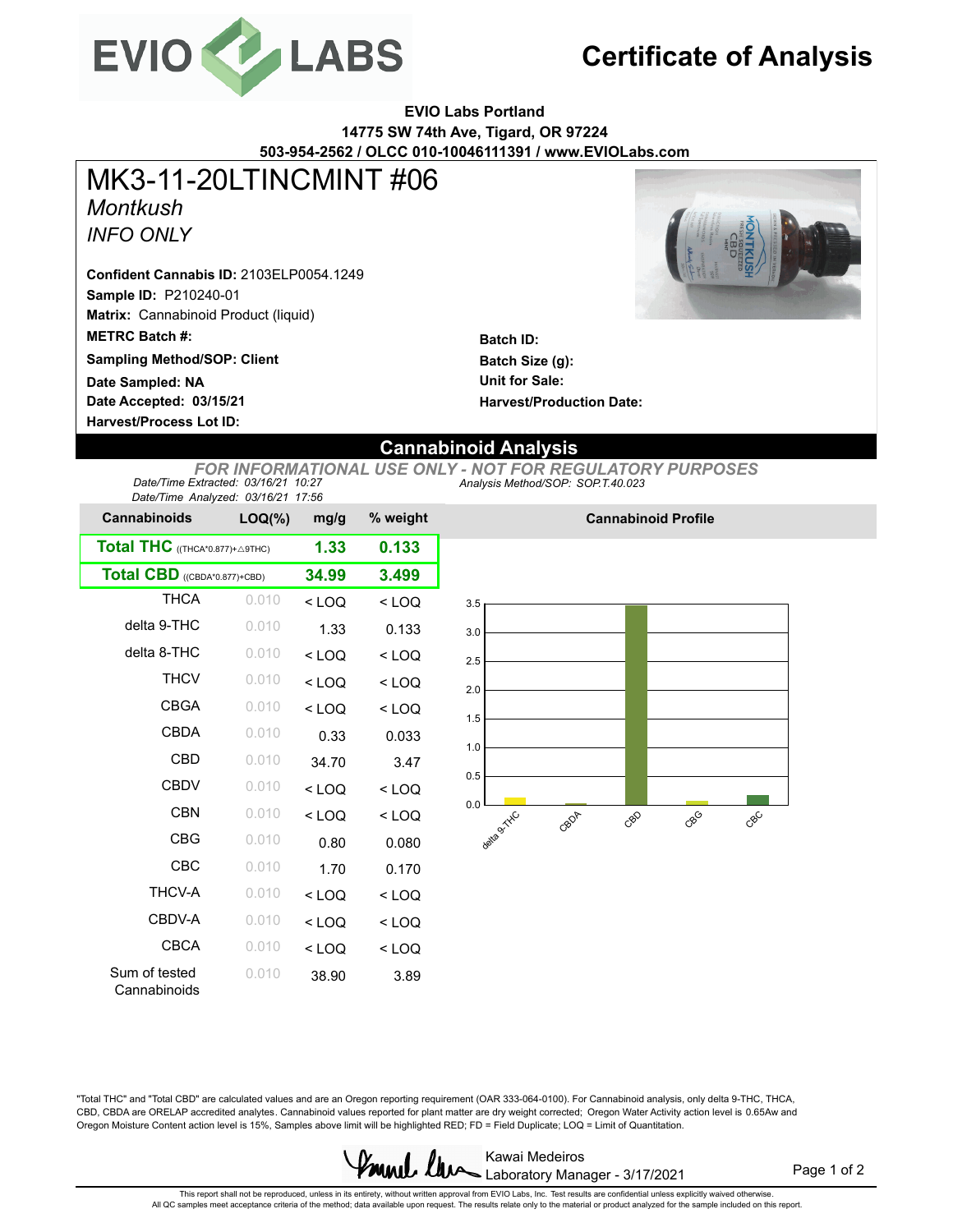

## **Certificate of Analysis**

**EVIO Labs Portland 14775 SW 74th Ave, Tigard, OR 97224 503-954-2562 / OLCC 010-10046111391 / www.EVIOLabs.com**

*Montkush INFO ONLY* MK3-11-20LTINCMINT #06

**Sample ID:** P210240-01 **Matrix:** Cannabinoid Product (liquid) **Confident Cannabis ID:** 2103ELP0054.1249

**METRC Batch #:** 

**Sampling Method/SOP: Client**

**Date Accepted: 03/15/21 Harvest/Process Lot ID: Date Sampled: NA**

**Batch ID: Batch Size (g): Unit for Sale: Harvest/Production Date:** 

## **Cannabinoid Analysis**

*Analysis Method/SOP: SOP.T.40.023 FOR INFORMATIONAL USE ONLY - NOT FOR REGULATORY PURPOSES Date/Time Extracted: 03/16/21 10:27 Date/Time Analyzed: 03/16/21 17:56*

| Date/Time Analyzed. 03/10/21 17:00 |           |         |          |  |  |  |  |  |
|------------------------------------|-----------|---------|----------|--|--|--|--|--|
| <b>Cannabinoids</b>                | $LOQ(\%)$ | mg/g    | % weight |  |  |  |  |  |
| Total THC ((THCA*0.877)+ A9THC)    | 1.33      | 0.133   |          |  |  |  |  |  |
| Total CBD ((CBDA*0.877)+CBD)       | 34.99     | 3.499   |          |  |  |  |  |  |
| <b>THCA</b>                        | 0.010     | $<$ LOQ | $<$ LOQ  |  |  |  |  |  |
| delta 9-THC                        | 0.010     | 1.33    | 0.133    |  |  |  |  |  |
| delta 8-THC                        | 0.010     | $<$ LOQ | $<$ LOQ  |  |  |  |  |  |
| <b>THCV</b>                        | 0.010     | $<$ LOQ | $<$ LOQ  |  |  |  |  |  |
| <b>CBGA</b>                        | 0.010     | $<$ LOQ | $<$ LOQ  |  |  |  |  |  |
| CBDA                               | 0.010     | 0.33    | 0.033    |  |  |  |  |  |
| CBD                                | 0.010     | 34.70   | 3.47     |  |  |  |  |  |
| CBDV                               | 0.010     | $<$ LOQ | $<$ LOQ  |  |  |  |  |  |
| CBN                                | 0.010     | $<$ LOQ | $<$ LOQ  |  |  |  |  |  |
| <b>CBG</b>                         | 0.010     | 0.80    | 0.080    |  |  |  |  |  |
| CBC                                | 0.010     | 1.70    | 0.170    |  |  |  |  |  |
| <b>THCV-A</b>                      | 0.010     | $<$ LOQ | $<$ LOQ  |  |  |  |  |  |
| CBDV-A                             | 0.010     | $<$ LOQ | $<$ LOQ  |  |  |  |  |  |
| <b>CBCA</b>                        | 0.010     | $<$ LOQ | $<$ LOQ  |  |  |  |  |  |
| Sum of tested<br>Cannabinoids      | 0.010     | 38.90   | 3.89     |  |  |  |  |  |



**Cannabinoid Profile**

"Total THC" and "Total CBD" are calculated values and are an Oregon reporting requirement (OAR 333-064-0100). For Cannabinoid analysis, only delta 9-THC, THCA, CBD, CBDA are ORELAP accredited analytes. Cannabinoid values reported for plant matter are dry weight corrected; Oregon Water Activity action level is 0.65Aw and Oregon Moisture Content action level is 15%, Samples above limit will be highlighted RED; FD = Field Duplicate; LOQ = Limit of Quantitation.



Page 1 of 2

This repot shall not be reproduced, unless in its entirety, without written approval from EVIO Labs, Inc. Test results are confidential unless explicitly waived otherwise.<br>All QC samples meet acceptance criteria of the met